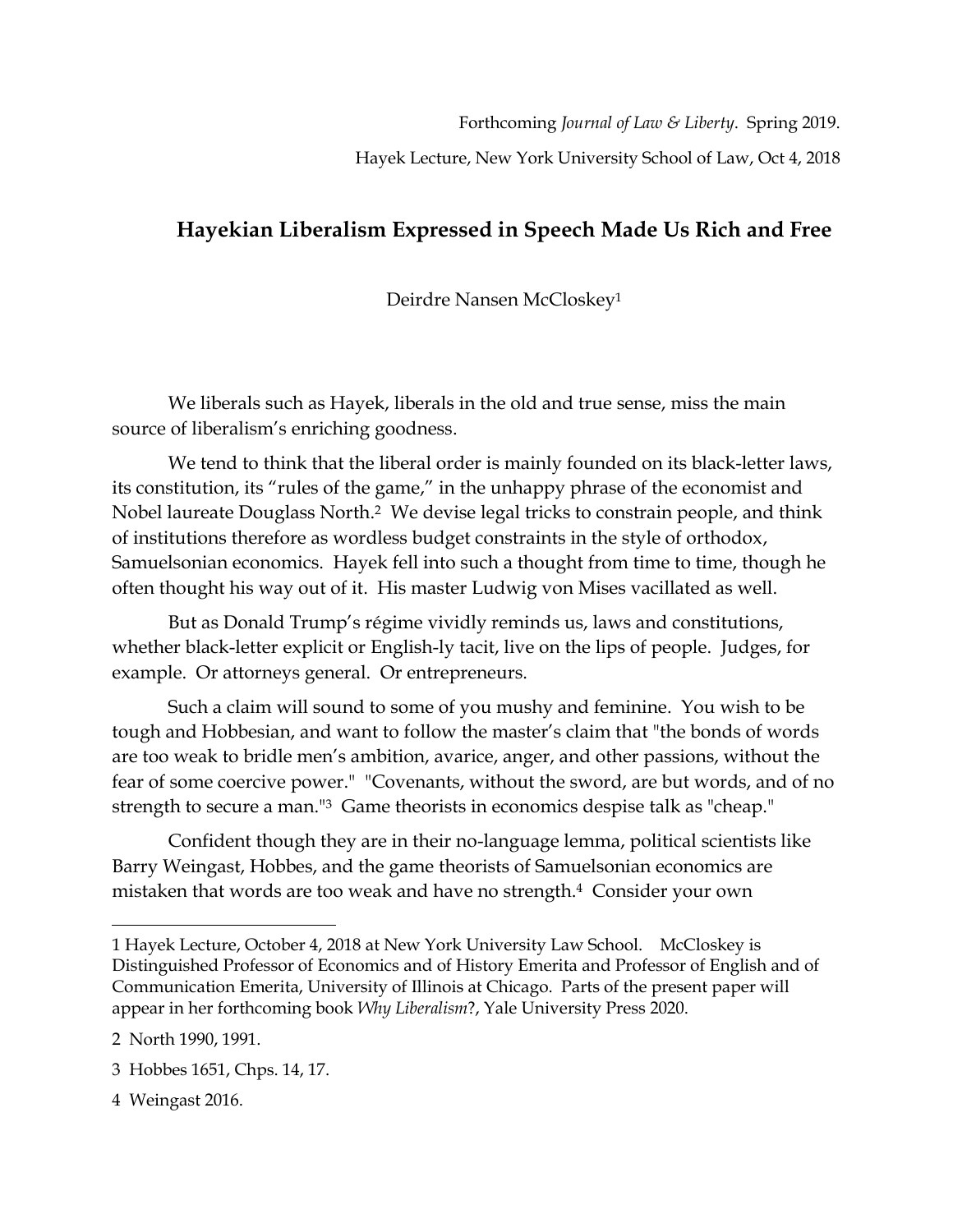Forthcoming *Journal of Law & Liberty*. Spring 2019.

Hayek Lecture, New York University School of Law, Oct 4, 2018

## **Hayekian Liberalism Expressed in Speech Made Us Rich and Free**

Deirdre Nansen McCloskey<sup>1</sup>

We liberals such as Hayek, liberals in the old and true sense, miss the main source of liberalism's enriching goodness.

We tend to think that the liberal order is mainly founded on its black-letter laws, its constitution, its "rules of the game," in the unhappy phrase of the economist and Nobel laureate Douglass North. <sup>2</sup> We devise legal tricks to constrain people, and think of institutions therefore as wordless budget constraints in the style of orthodox, Samuelsonian economics. Hayek fell into such a thought from time to time, though he often thought his way out of it. His master Ludwig von Mises vacillated as well.

But as Donald Trump's régime vividly reminds us, laws and constitutions, whether black-letter explicit or English-ly tacit, live on the lips of people. Judges, for example. Or attorneys general. Or entrepreneurs.

Such a claim will sound to some of you mushy and feminine. You wish to be tough and Hobbesian, and want to follow the master's claim that "the bonds of words are too weak to bridle men's ambition, avarice, anger, and other passions, without the fear of some coercive power." "Covenants, without the sword, are but words, and of no strength to secure a man." <sup>3</sup> Game theorists in economics despise talk as "cheap."

Confident though they are in their no-language lemma, political scientists like Barry Weingast, Hobbes, and the game theorists of Samuelsonian economics are mistaken that words are too weak and have no strength.4 Consider your own

 $\overline{a}$ 

4 Weingast 2016.

<sup>1</sup> Hayek Lecture, October 4, 2018 at New York University Law School. McCloskey is Distinguished Professor of Economics and of History Emerita and Professor of English and of Communication Emerita, University of Illinois at Chicago. Parts of the present paper will appear in her forthcoming book *Why Liberalism*?, Yale University Press 2020.

<sup>2</sup> North 1990, 1991.

<sup>3</sup> Hobbes 1651, Chps. 14, 17.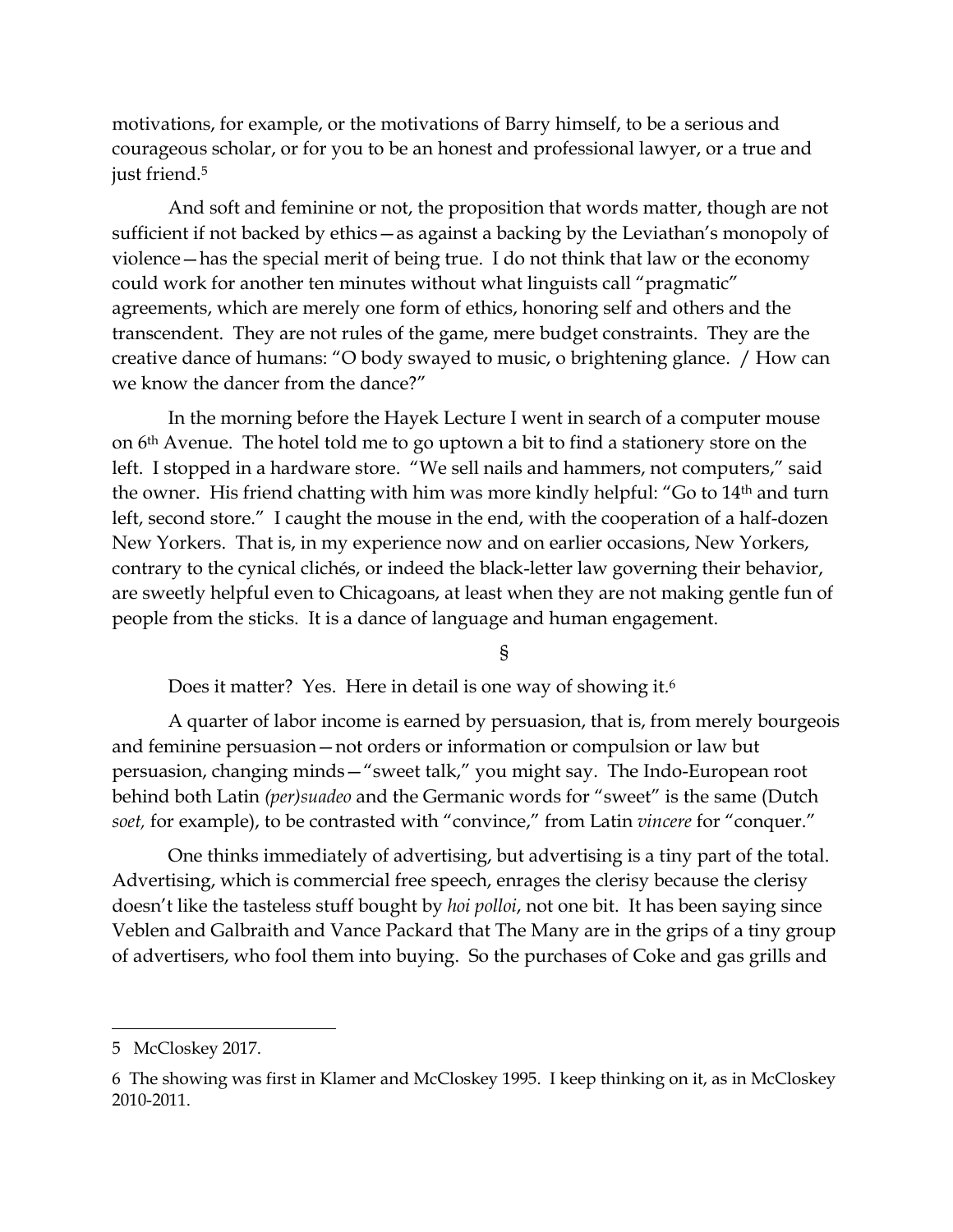motivations, for example, or the motivations of Barry himself, to be a serious and courageous scholar, or for you to be an honest and professional lawyer, or a true and just friend. 5

And soft and feminine or not, the proposition that words matter, though are not sufficient if not backed by ethics—as against a backing by the Leviathan's monopoly of violence—has the special merit of being true. I do not think that law or the economy could work for another ten minutes without what linguists call "pragmatic" agreements, which are merely one form of ethics, honoring self and others and the transcendent. They are not rules of the game, mere budget constraints. They are the creative dance of humans: "O body swayed to music, o brightening glance. / How can we know the dancer from the dance?"

In the morning before the Hayek Lecture I went in search of a computer mouse on 6th Avenue. The hotel told me to go uptown a bit to find a stationery store on the left. I stopped in a hardware store. "We sell nails and hammers, not computers," said the owner. His friend chatting with him was more kindly helpful: "Go to 14th and turn left, second store." I caught the mouse in the end, with the cooperation of a half-dozen New Yorkers. That is, in my experience now and on earlier occasions, New Yorkers, contrary to the cynical clichés, or indeed the black-letter law governing their behavior, are sweetly helpful even to Chicagoans, at least when they are not making gentle fun of people from the sticks. It is a dance of language and human engagement.

§

Does it matter? Yes. Here in detail is one way of showing it.<sup>6</sup>

A quarter of labor income is earned by persuasion, that is, from merely bourgeois and feminine persuasion—not orders or information or compulsion or law but persuasion, changing minds—"sweet talk," you might say. The Indo-European root behind both Latin *(per)suadeo* and the Germanic words for "sweet" is the same (Dutch *soet,* for example), to be contrasted with "convince," from Latin *vincere* for "conquer."

One thinks immediately of advertising, but advertising is a tiny part of the total. Advertising, which is commercial free speech, enrages the clerisy because the clerisy doesn't like the tasteless stuff bought by *hoi polloi*, not one bit. It has been saying since Veblen and Galbraith and Vance Packard that The Many are in the grips of a tiny group of advertisers, who fool them into buying. So the purchases of Coke and gas grills and

<sup>5</sup> McCloskey 2017.

<sup>6</sup> The showing was first in Klamer and McCloskey 1995. I keep thinking on it, as in McCloskey 2010-2011.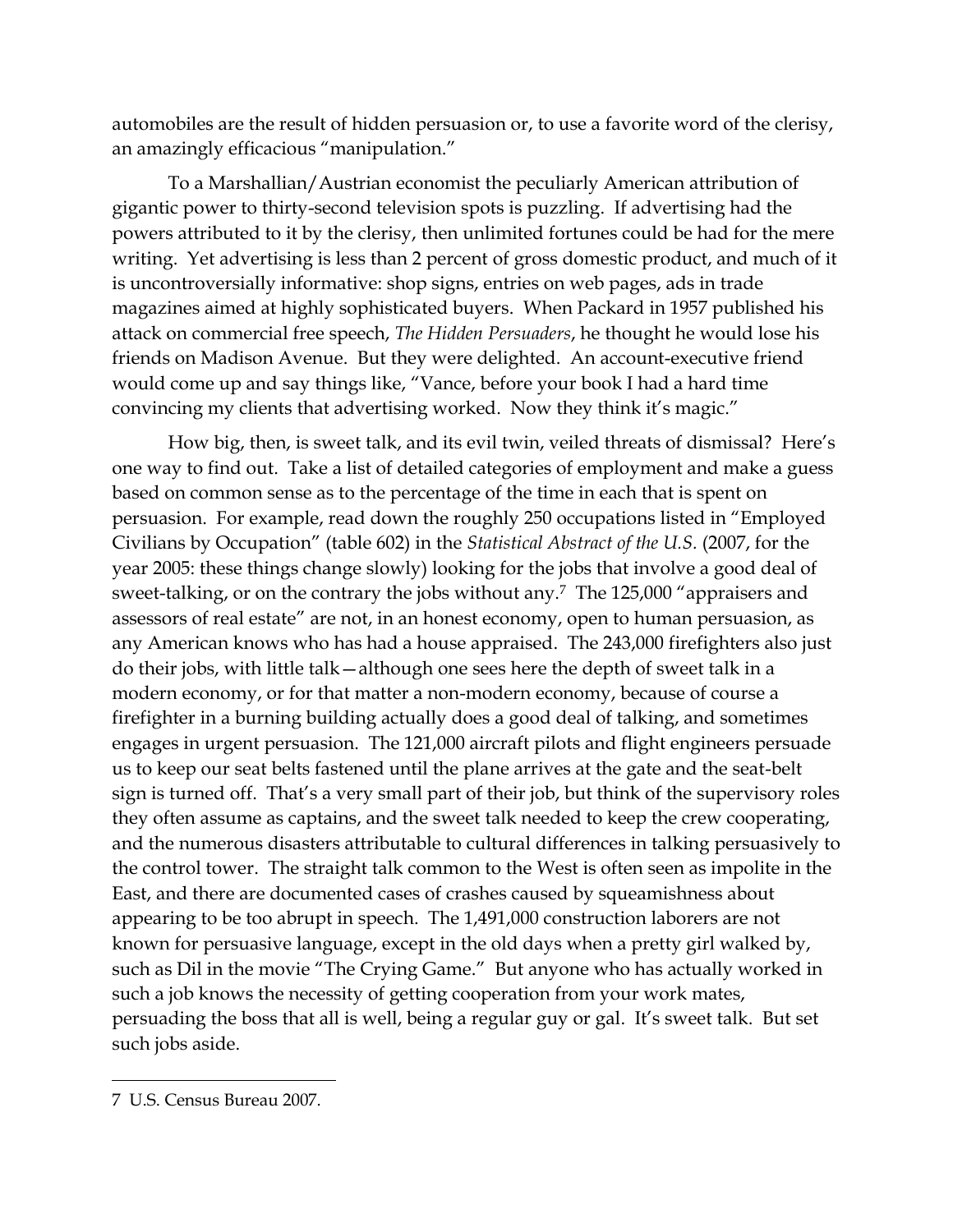automobiles are the result of hidden persuasion or, to use a favorite word of the clerisy, an amazingly efficacious "manipulation."

To a Marshallian/Austrian economist the peculiarly American attribution of gigantic power to thirty-second television spots is puzzling. If advertising had the powers attributed to it by the clerisy, then unlimited fortunes could be had for the mere writing. Yet advertising is less than 2 percent of gross domestic product, and much of it is uncontroversially informative: shop signs, entries on web pages, ads in trade magazines aimed at highly sophisticated buyers. When Packard in 1957 published his attack on commercial free speech, *The Hidden Persuaders*, he thought he would lose his friends on Madison Avenue. But they were delighted. An account-executive friend would come up and say things like, "Vance, before your book I had a hard time convincing my clients that advertising worked. Now they think it's magic."

How big, then, is sweet talk, and its evil twin, veiled threats of dismissal? Here's one way to find out. Take a list of detailed categories of employment and make a guess based on common sense as to the percentage of the time in each that is spent on persuasion. For example, read down the roughly 250 occupations listed in "Employed Civilians by Occupation" (table 602) in the *Statistical Abstract of the U.S.* (2007, for the year 2005: these things change slowly) looking for the jobs that involve a good deal of sweet-talking, or on the contrary the jobs without any.<sup>7</sup> The 125,000 "appraisers and assessors of real estate" are not, in an honest economy, open to human persuasion, as any American knows who has had a house appraised. The 243,000 firefighters also just do their jobs, with little talk—although one sees here the depth of sweet talk in a modern economy, or for that matter a non-modern economy, because of course a firefighter in a burning building actually does a good deal of talking, and sometimes engages in urgent persuasion. The 121,000 aircraft pilots and flight engineers persuade us to keep our seat belts fastened until the plane arrives at the gate and the seat-belt sign is turned off. That's a very small part of their job, but think of the supervisory roles they often assume as captains, and the sweet talk needed to keep the crew cooperating, and the numerous disasters attributable to cultural differences in talking persuasively to the control tower. The straight talk common to the West is often seen as impolite in the East, and there are documented cases of crashes caused by squeamishness about appearing to be too abrupt in speech. The 1,491,000 construction laborers are not known for persuasive language, except in the old days when a pretty girl walked by, such as Dil in the movie "The Crying Game." But anyone who has actually worked in such a job knows the necessity of getting cooperation from your work mates, persuading the boss that all is well, being a regular guy or gal. It's sweet talk. But set such jobs aside.

<sup>7</sup> U.S. Census Bureau 2007.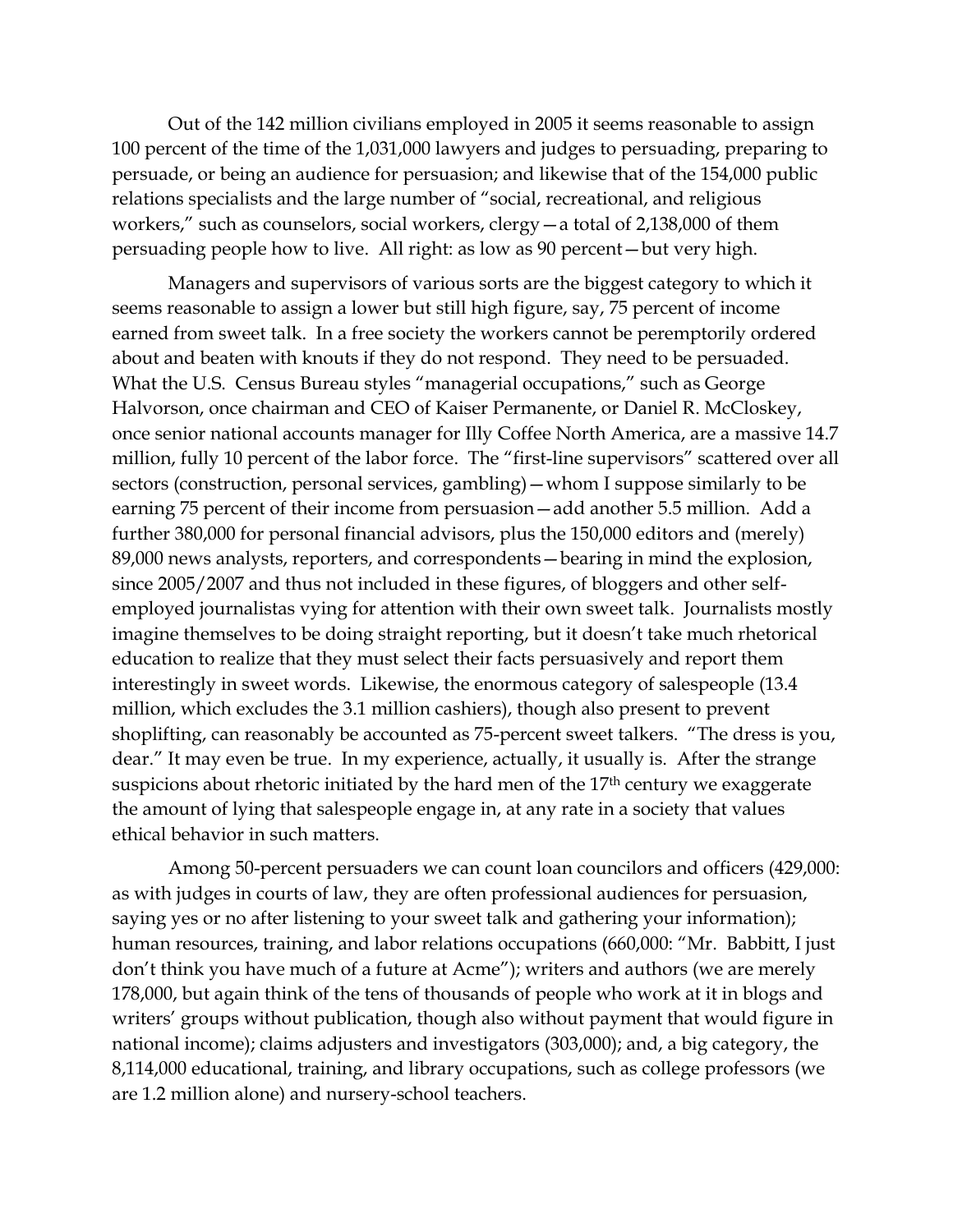Out of the 142 million civilians employed in 2005 it seems reasonable to assign 100 percent of the time of the 1,031,000 lawyers and judges to persuading, preparing to persuade, or being an audience for persuasion; and likewise that of the 154,000 public relations specialists and the large number of "social, recreational, and religious workers," such as counselors, social workers, clergy—a total of 2,138,000 of them persuading people how to live. All right: as low as 90 percent—but very high.

Managers and supervisors of various sorts are the biggest category to which it seems reasonable to assign a lower but still high figure, say, 75 percent of income earned from sweet talk. In a free society the workers cannot be peremptorily ordered about and beaten with knouts if they do not respond. They need to be persuaded. What the U.S. Census Bureau styles "managerial occupations," such as George Halvorson, once chairman and CEO of Kaiser Permanente, or Daniel R. McCloskey, once senior national accounts manager for Illy Coffee North America, are a massive 14.7 million, fully 10 percent of the labor force. The "first-line supervisors" scattered over all sectors (construction, personal services, gambling)—whom I suppose similarly to be earning 75 percent of their income from persuasion—add another 5.5 million. Add a further 380,000 for personal financial advisors, plus the 150,000 editors and (merely) 89,000 news analysts, reporters, and correspondents—bearing in mind the explosion, since 2005/2007 and thus not included in these figures, of bloggers and other selfemployed journalistas vying for attention with their own sweet talk. Journalists mostly imagine themselves to be doing straight reporting, but it doesn't take much rhetorical education to realize that they must select their facts persuasively and report them interestingly in sweet words. Likewise, the enormous category of salespeople (13.4 million, which excludes the 3.1 million cashiers), though also present to prevent shoplifting, can reasonably be accounted as 75-percent sweet talkers. "The dress is you, dear." It may even be true. In my experience, actually, it usually is. After the strange suspicions about rhetoric initiated by the hard men of the 17<sup>th</sup> century we exaggerate the amount of lying that salespeople engage in, at any rate in a society that values ethical behavior in such matters.

Among 50-percent persuaders we can count loan councilors and officers (429,000: as with judges in courts of law, they are often professional audiences for persuasion, saying yes or no after listening to your sweet talk and gathering your information); human resources, training, and labor relations occupations (660,000: "Mr. Babbitt, I just don't think you have much of a future at Acme"); writers and authors (we are merely 178,000, but again think of the tens of thousands of people who work at it in blogs and writers' groups without publication, though also without payment that would figure in national income); claims adjusters and investigators (303,000); and, a big category, the 8,114,000 educational, training, and library occupations, such as college professors (we are 1.2 million alone) and nursery-school teachers.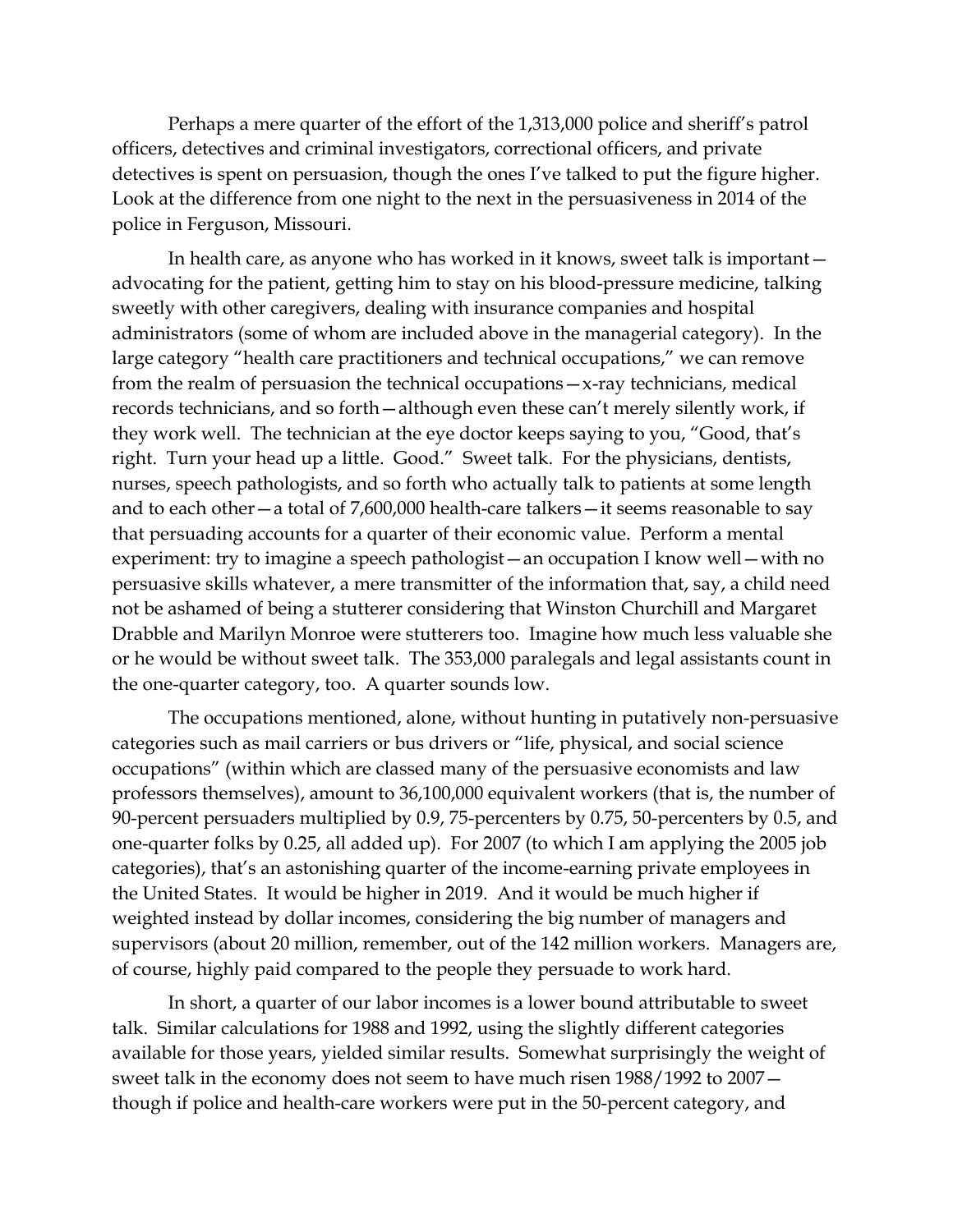Perhaps a mere quarter of the effort of the 1,313,000 police and sheriff's patrol officers, detectives and criminal investigators, correctional officers, and private detectives is spent on persuasion, though the ones I've talked to put the figure higher. Look at the difference from one night to the next in the persuasiveness in 2014 of the police in Ferguson, Missouri.

In health care, as anyone who has worked in it knows, sweet talk is important advocating for the patient, getting him to stay on his blood-pressure medicine, talking sweetly with other caregivers, dealing with insurance companies and hospital administrators (some of whom are included above in the managerial category). In the large category "health care practitioners and technical occupations," we can remove from the realm of persuasion the technical occupations—x-ray technicians, medical records technicians, and so forth—although even these can't merely silently work, if they work well. The technician at the eye doctor keeps saying to you, "Good, that's right. Turn your head up a little. Good." Sweet talk. For the physicians, dentists, nurses, speech pathologists, and so forth who actually talk to patients at some length and to each other—a total of 7,600,000 health-care talkers—it seems reasonable to say that persuading accounts for a quarter of their economic value. Perform a mental experiment: try to imagine a speech pathologist—an occupation I know well—with no persuasive skills whatever, a mere transmitter of the information that, say, a child need not be ashamed of being a stutterer considering that Winston Churchill and Margaret Drabble and Marilyn Monroe were stutterers too. Imagine how much less valuable she or he would be without sweet talk. The 353,000 paralegals and legal assistants count in the one-quarter category, too. A quarter sounds low.

The occupations mentioned, alone, without hunting in putatively non-persuasive categories such as mail carriers or bus drivers or "life, physical, and social science occupations" (within which are classed many of the persuasive economists and law professors themselves), amount to 36,100,000 equivalent workers (that is, the number of 90-percent persuaders multiplied by 0.9, 75-percenters by 0.75, 50-percenters by 0.5, and one-quarter folks by 0.25, all added up). For 2007 (to which I am applying the 2005 job categories), that's an astonishing quarter of the income-earning private employees in the United States. It would be higher in 2019. And it would be much higher if weighted instead by dollar incomes, considering the big number of managers and supervisors (about 20 million, remember, out of the 142 million workers. Managers are, of course, highly paid compared to the people they persuade to work hard.

In short, a quarter of our labor incomes is a lower bound attributable to sweet talk. Similar calculations for 1988 and 1992, using the slightly different categories available for those years, yielded similar results. Somewhat surprisingly the weight of sweet talk in the economy does not seem to have much risen 1988/1992 to 2007 though if police and health-care workers were put in the 50-percent category, and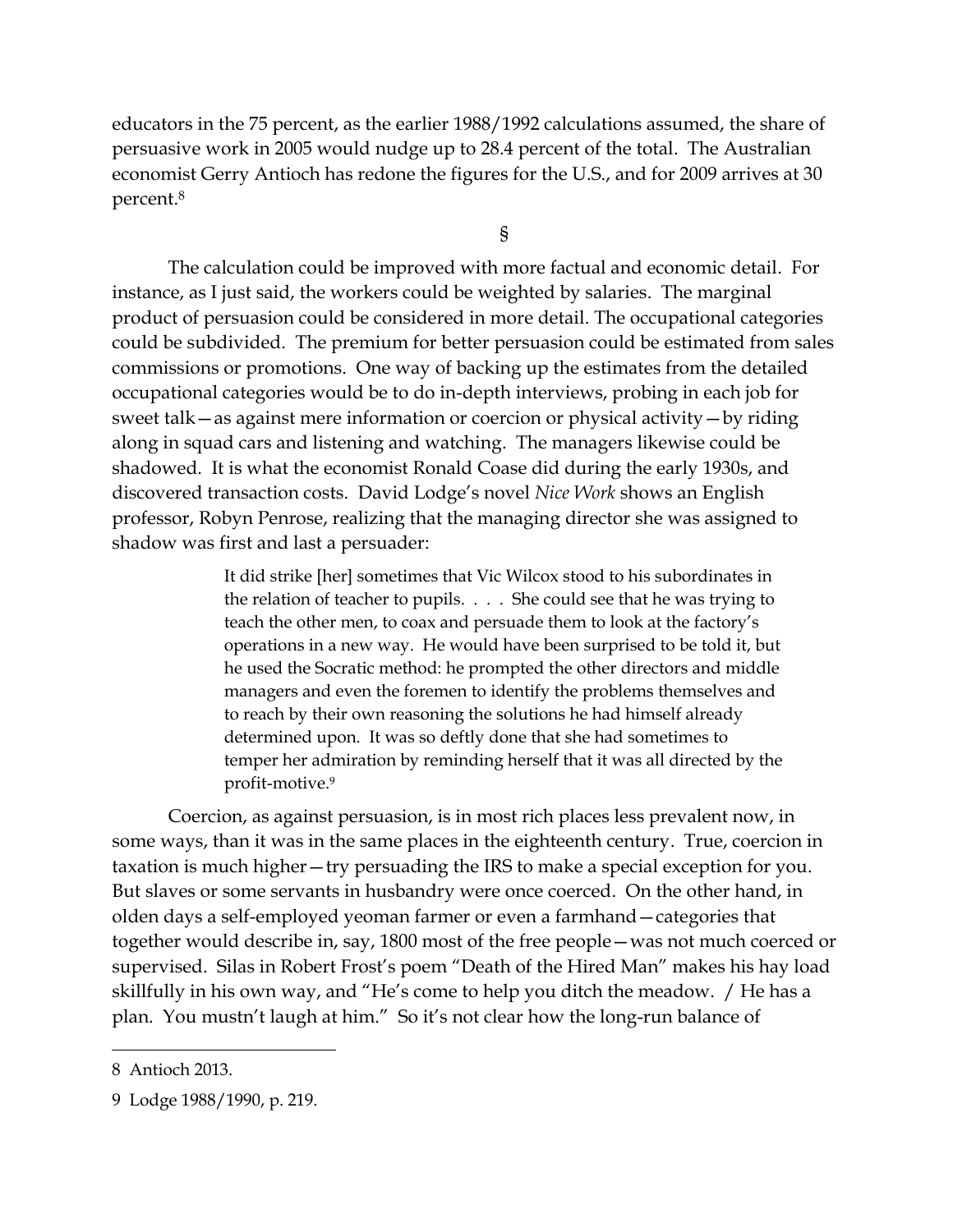educators in the 75 percent, as the earlier 1988/1992 calculations assumed, the share of persuasive work in 2005 would nudge up to 28.4 percent of the total. The Australian economist Gerry Antioch has redone the figures for the U.S., and for 2009 arrives at 30 percent. 8

§

The calculation could be improved with more factual and economic detail. For instance, as I just said, the workers could be weighted by salaries. The marginal product of persuasion could be considered in more detail. The occupational categories could be subdivided. The premium for better persuasion could be estimated from sales commissions or promotions. One way of backing up the estimates from the detailed occupational categories would be to do in-depth interviews, probing in each job for sweet talk—as against mere information or coercion or physical activity—by riding along in squad cars and listening and watching. The managers likewise could be shadowed. It is what the economist Ronald Coase did during the early 1930s, and discovered transaction costs. David Lodge's novel *Nice Work* shows an English professor, Robyn Penrose, realizing that the managing director she was assigned to shadow was first and last a persuader:

> It did strike [her] sometimes that Vic Wilcox stood to his subordinates in the relation of teacher to pupils. . . . She could see that he was trying to teach the other men, to coax and persuade them to look at the factory's operations in a new way. He would have been surprised to be told it, but he used the Socratic method: he prompted the other directors and middle managers and even the foremen to identify the problems themselves and to reach by their own reasoning the solutions he had himself already determined upon. It was so deftly done that she had sometimes to temper her admiration by reminding herself that it was all directed by the profit-motive.<sup>9</sup>

Coercion, as against persuasion, is in most rich places less prevalent now, in some ways, than it was in the same places in the eighteenth century. True, coercion in taxation is much higher—try persuading the IRS to make a special exception for you. But slaves or some servants in husbandry were once coerced. On the other hand, in olden days a self-employed yeoman farmer or even a farmhand—categories that together would describe in, say, 1800 most of the free people—was not much coerced or supervised. Silas in Robert Frost's poem "Death of the Hired Man" makes his hay load skillfully in his own way, and "He's come to help you ditch the meadow. / He has a plan. You mustn't laugh at him." So it's not clear how the long-run balance of

<sup>8</sup> Antioch 2013.

<sup>9</sup> Lodge 1988/1990, p. 219.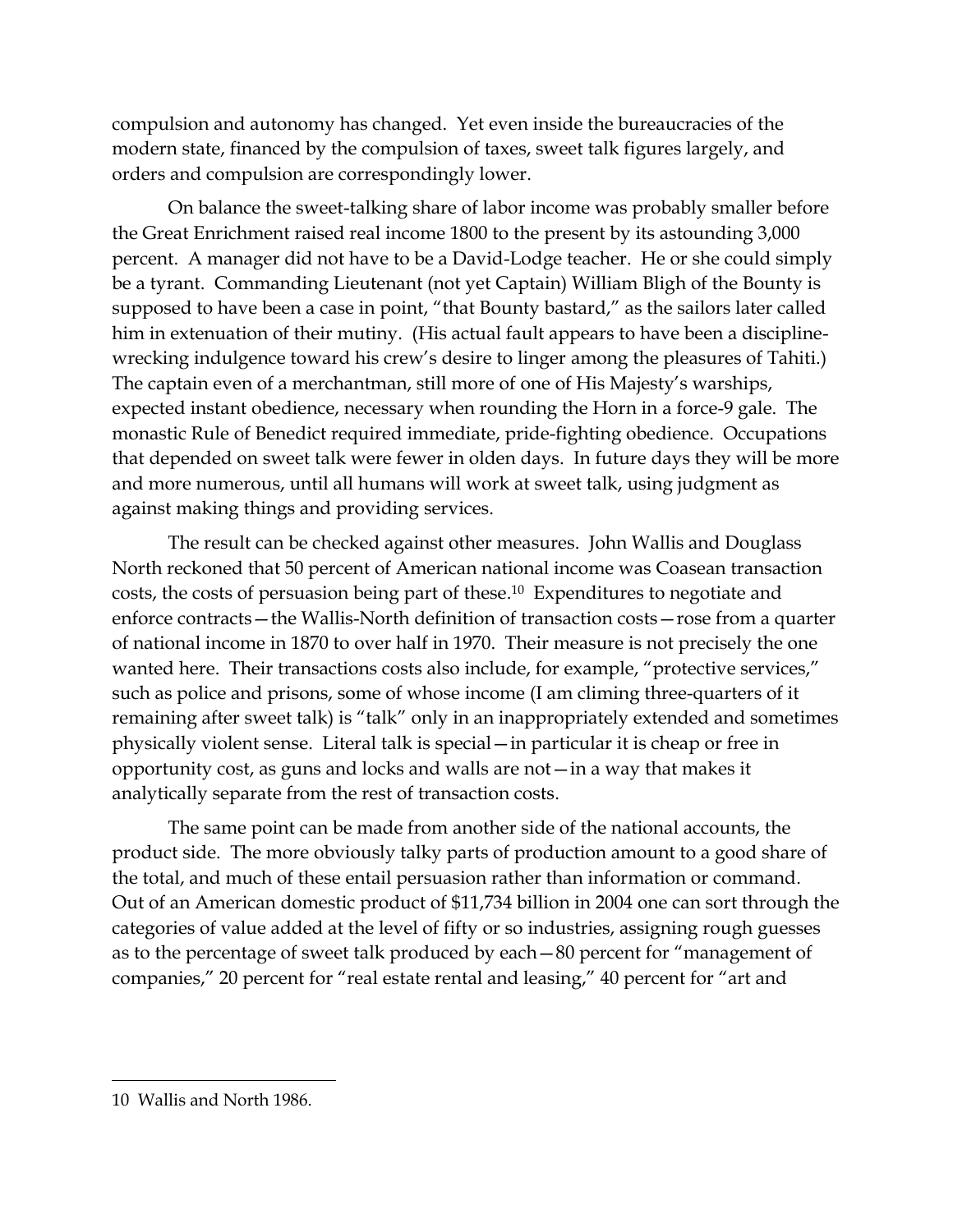compulsion and autonomy has changed. Yet even inside the bureaucracies of the modern state, financed by the compulsion of taxes, sweet talk figures largely, and orders and compulsion are correspondingly lower.

On balance the sweet-talking share of labor income was probably smaller before the Great Enrichment raised real income 1800 to the present by its astounding 3,000 percent. A manager did not have to be a David-Lodge teacher. He or she could simply be a tyrant. Commanding Lieutenant (not yet Captain) William Bligh of the Bounty is supposed to have been a case in point, "that Bounty bastard," as the sailors later called him in extenuation of their mutiny. (His actual fault appears to have been a disciplinewrecking indulgence toward his crew's desire to linger among the pleasures of Tahiti.) The captain even of a merchantman, still more of one of His Majesty's warships, expected instant obedience, necessary when rounding the Horn in a force-9 gale. The monastic Rule of Benedict required immediate, pride-fighting obedience. Occupations that depended on sweet talk were fewer in olden days. In future days they will be more and more numerous, until all humans will work at sweet talk, using judgment as against making things and providing services.

The result can be checked against other measures. John Wallis and Douglass North reckoned that 50 percent of American national income was Coasean transaction costs, the costs of persuasion being part of these. <sup>10</sup> Expenditures to negotiate and enforce contracts—the Wallis-North definition of transaction costs—rose from a quarter of national income in 1870 to over half in 1970. Their measure is not precisely the one wanted here. Their transactions costs also include, for example, "protective services," such as police and prisons, some of whose income (I am climing three-quarters of it remaining after sweet talk) is "talk" only in an inappropriately extended and sometimes physically violent sense. Literal talk is special—in particular it is cheap or free in opportunity cost, as guns and locks and walls are not—in a way that makes it analytically separate from the rest of transaction costs.

The same point can be made from another side of the national accounts, the product side. The more obviously talky parts of production amount to a good share of the total, and much of these entail persuasion rather than information or command. Out of an American domestic product of \$11,734 billion in 2004 one can sort through the categories of value added at the level of fifty or so industries, assigning rough guesses as to the percentage of sweet talk produced by each—80 percent for "management of companies," 20 percent for "real estate rental and leasing," 40 percent for "art and

<sup>10</sup> Wallis and North 1986.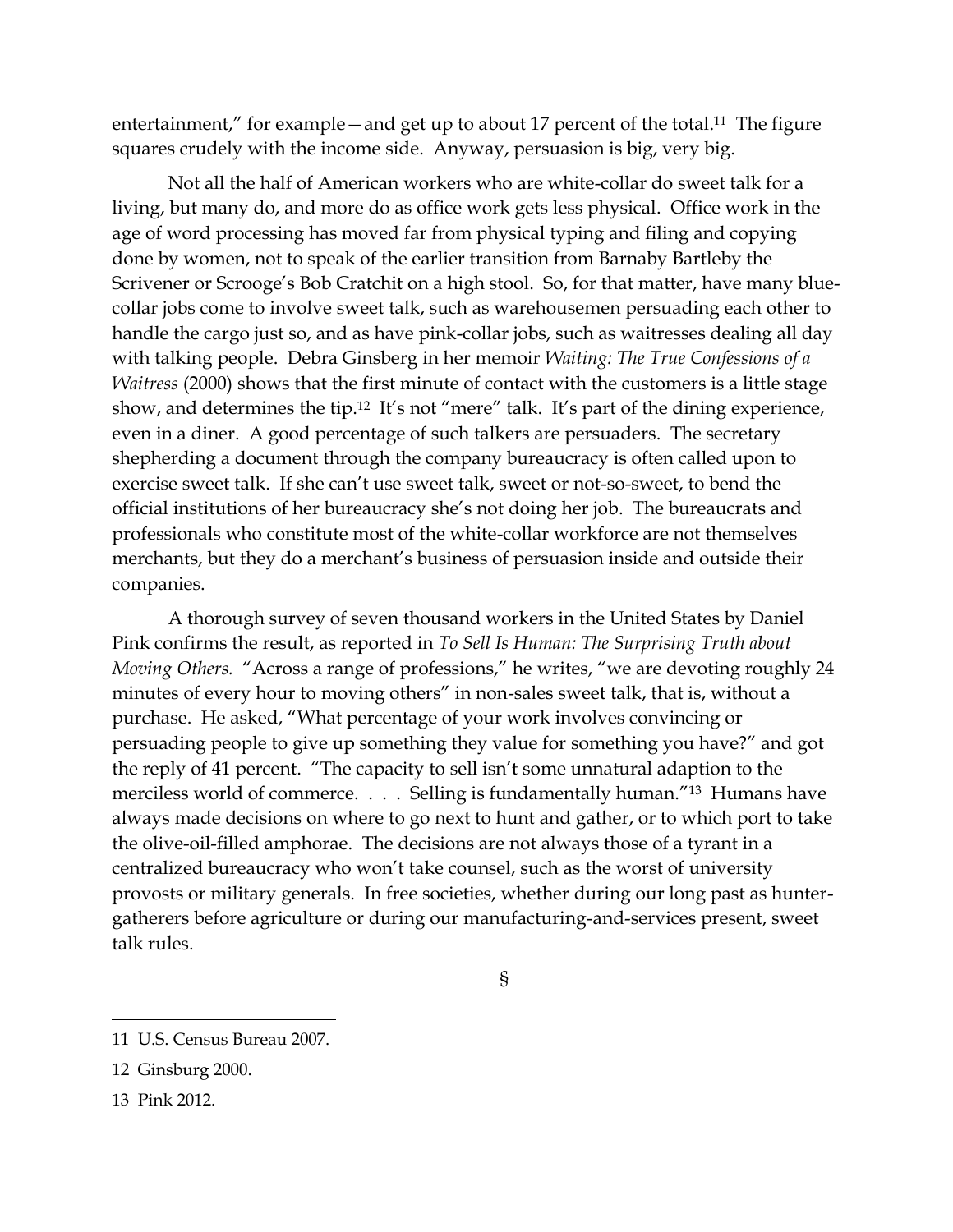entertainment," for example – and get up to about 17 percent of the total.<sup>11</sup> The figure squares crudely with the income side. Anyway, persuasion is big, very big.

Not all the half of American workers who are white-collar do sweet talk for a living, but many do, and more do as office work gets less physical. Office work in the age of word processing has moved far from physical typing and filing and copying done by women, not to speak of the earlier transition from Barnaby Bartleby the Scrivener or Scrooge's Bob Cratchit on a high stool. So, for that matter, have many bluecollar jobs come to involve sweet talk, such as warehousemen persuading each other to handle the cargo just so, and as have pink-collar jobs, such as waitresses dealing all day with talking people. Debra Ginsberg in her memoir *Waiting: The True Confessions of a Waitress* (2000) shows that the first minute of contact with the customers is a little stage show, and determines the tip.<sup>12</sup> It's not "mere" talk. It's part of the dining experience, even in a diner. A good percentage of such talkers are persuaders. The secretary shepherding a document through the company bureaucracy is often called upon to exercise sweet talk. If she can't use sweet talk, sweet or not-so-sweet, to bend the official institutions of her bureaucracy she's not doing her job. The bureaucrats and professionals who constitute most of the white-collar workforce are not themselves merchants, but they do a merchant's business of persuasion inside and outside their companies.

A thorough survey of seven thousand workers in the United States by Daniel Pink confirms the result, as reported in *To Sell Is Human: The Surprising Truth about Moving Others.* "Across a range of professions," he writes, "we are devoting roughly 24 minutes of every hour to moving others" in non-sales sweet talk, that is, without a purchase. He asked, "What percentage of your work involves convincing or persuading people to give up something they value for something you have?" and got the reply of 41 percent. "The capacity to sell isn't some unnatural adaption to the merciless world of commerce. . . . Selling is fundamentally human."13 Humans have always made decisions on where to go next to hunt and gather, or to which port to take the olive-oil-filled amphorae. The decisions are not always those of a tyrant in a centralized bureaucracy who won't take counsel, such as the worst of university provosts or military generals. In free societies, whether during our long past as huntergatherers before agriculture or during our manufacturing-and-services present, sweet talk rules.

§

 $\overline{a}$ 11 U.S. Census Bureau 2007.

<sup>12</sup> Ginsburg 2000.

<sup>13</sup> Pink 2012.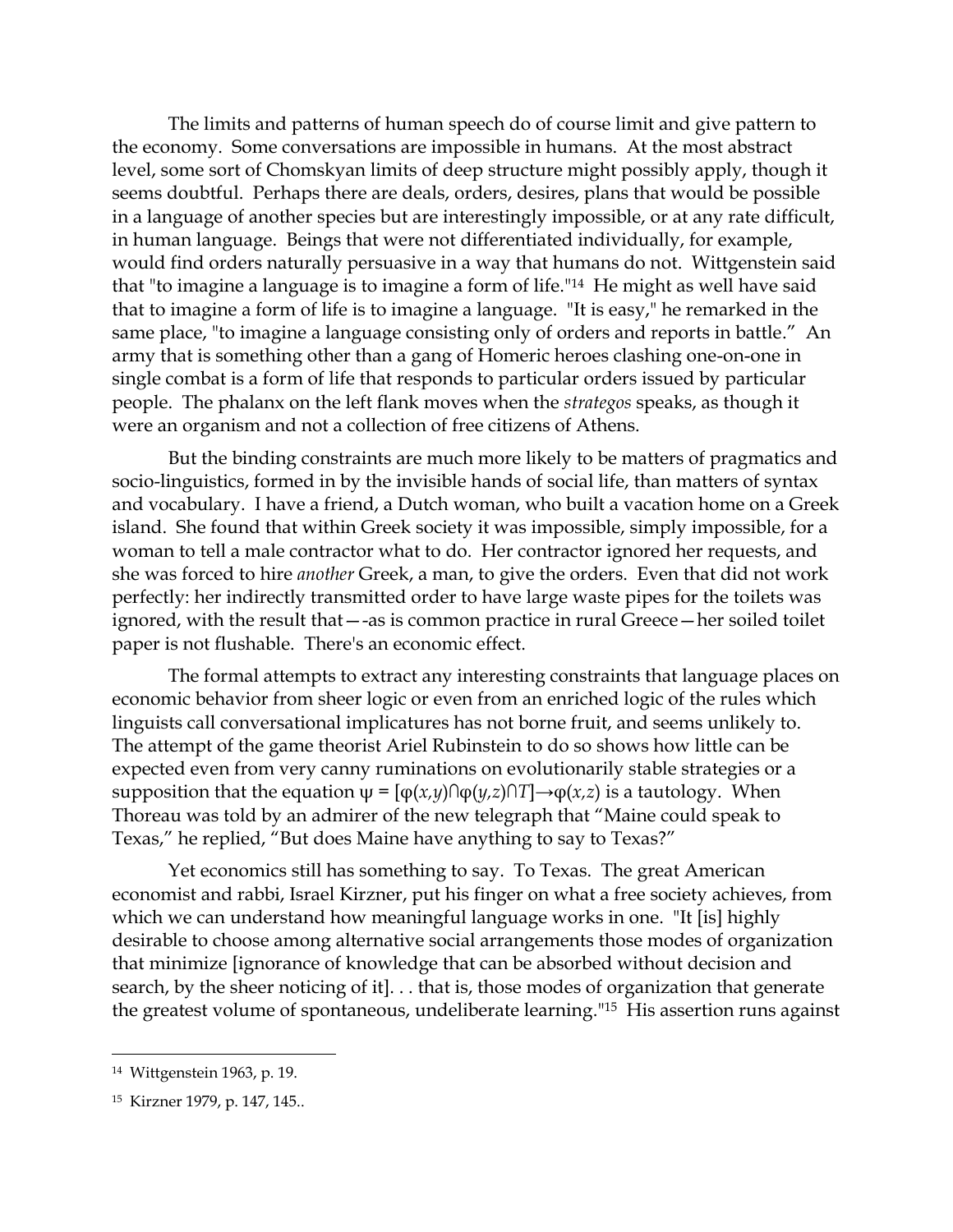The limits and patterns of human speech do of course limit and give pattern to the economy. Some conversations are impossible in humans. At the most abstract level, some sort of Chomskyan limits of deep structure might possibly apply, though it seems doubtful. Perhaps there are deals, orders, desires, plans that would be possible in a language of another species but are interestingly impossible, or at any rate difficult, in human language. Beings that were not differentiated individually, for example, would find orders naturally persuasive in a way that humans do not. Wittgenstein said that "to imagine a language is to imagine a form of life." <sup>14</sup> He might as well have said that to imagine a form of life is to imagine a language. "It is easy," he remarked in the same place, "to imagine a language consisting only of orders and reports in battle." An army that is something other than a gang of Homeric heroes clashing one-on-one in single combat is a form of life that responds to particular orders issued by particular people. The phalanx on the left flank moves when the *strategos* speaks, as though it were an organism and not a collection of free citizens of Athens.

But the binding constraints are much more likely to be matters of pragmatics and socio-linguistics, formed in by the invisible hands of social life, than matters of syntax and vocabulary. I have a friend, a Dutch woman, who built a vacation home on a Greek island. She found that within Greek society it was impossible, simply impossible, for a woman to tell a male contractor what to do. Her contractor ignored her requests, and she was forced to hire *another* Greek, a man, to give the orders. Even that did not work perfectly: her indirectly transmitted order to have large waste pipes for the toilets was ignored, with the result that—-as is common practice in rural Greece—her soiled toilet paper is not flushable. There's an economic effect.

The formal attempts to extract any interesting constraints that language places on economic behavior from sheer logic or even from an enriched logic of the rules which linguists call conversational implicatures has not borne fruit, and seems unlikely to. The attempt of the game theorist Ariel Rubinstein to do so shows how little can be expected even from very canny ruminations on evolutionarily stable strategies or a supposition that the equation  $ψ = [φ(x, y) ∩ φ(y, z) ∩ T] → φ(x, z)$  is a tautology. When Thoreau was told by an admirer of the new telegraph that "Maine could speak to Texas," he replied, "But does Maine have anything to say to Texas?"

Yet economics still has something to say. To Texas. The great American economist and rabbi, Israel Kirzner, put his finger on what a free society achieves, from which we can understand how meaningful language works in one. "It [is] highly desirable to choose among alternative social arrangements those modes of organization that minimize [ignorance of knowledge that can be absorbed without decision and search, by the sheer noticing of it]. . . that is, those modes of organization that generate the greatest volume of spontaneous, undeliberate learning."15 His assertion runs against

<sup>14</sup> Wittgenstein 1963, p. 19.

<sup>15</sup> Kirzner 1979, p. 147, 145..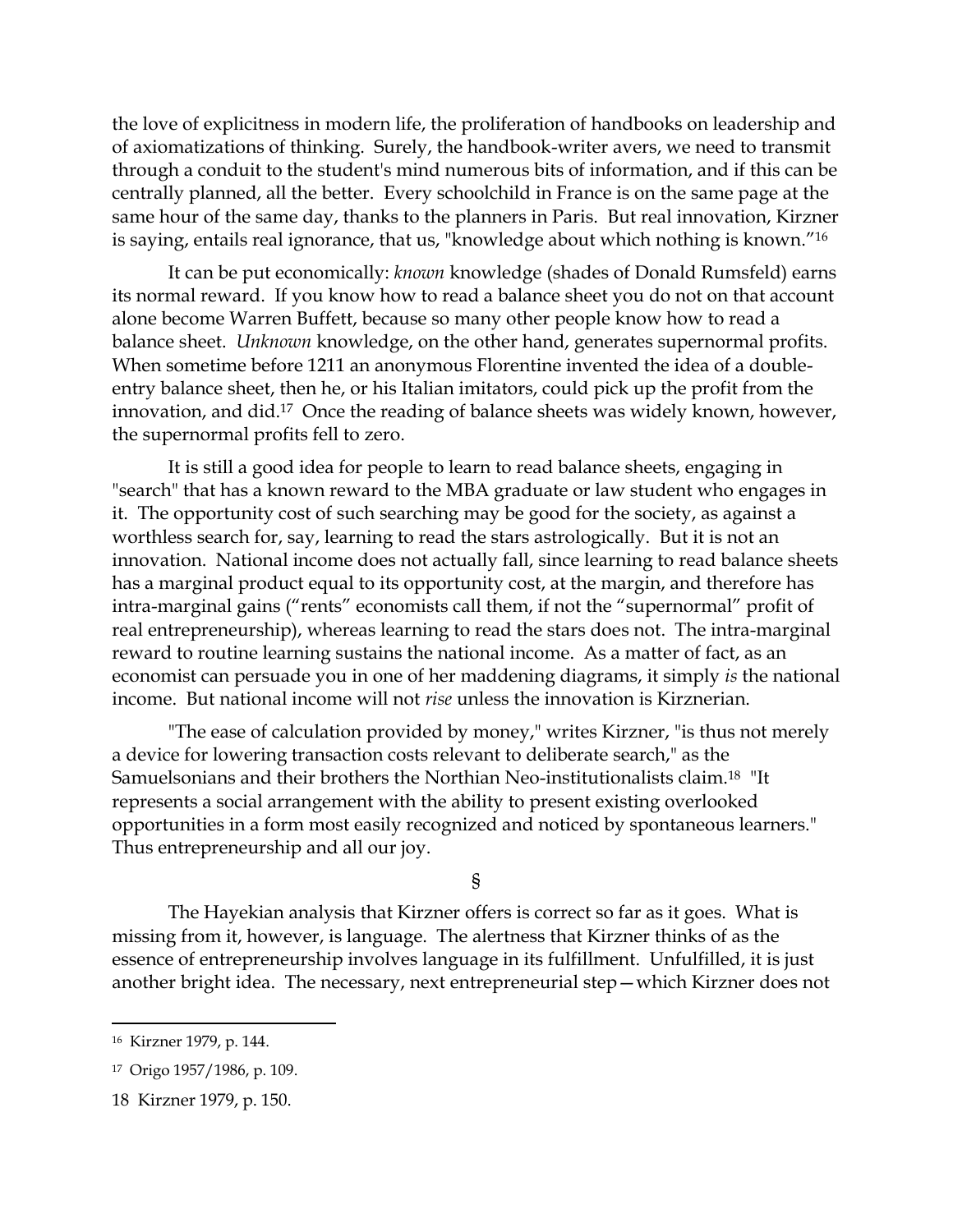the love of explicitness in modern life, the proliferation of handbooks on leadership and of axiomatizations of thinking. Surely, the handbook-writer avers, we need to transmit through a conduit to the student's mind numerous bits of information, and if this can be centrally planned, all the better. Every schoolchild in France is on the same page at the same hour of the same day, thanks to the planners in Paris. But real innovation, Kirzner is saying, entails real ignorance, that us, "knowledge about which nothing is known."<sup>16</sup>

It can be put economically: *known* knowledge (shades of Donald Rumsfeld) earns its normal reward. If you know how to read a balance sheet you do not on that account alone become Warren Buffett, because so many other people know how to read a balance sheet. *Unknown* knowledge, on the other hand, generates supernormal profits. When sometime before 1211 an anonymous Florentine invented the idea of a doubleentry balance sheet, then he, or his Italian imitators, could pick up the profit from the innovation, and did. <sup>17</sup> Once the reading of balance sheets was widely known, however, the supernormal profits fell to zero.

It is still a good idea for people to learn to read balance sheets, engaging in "search" that has a known reward to the MBA graduate or law student who engages in it. The opportunity cost of such searching may be good for the society, as against a worthless search for, say, learning to read the stars astrologically. But it is not an innovation. National income does not actually fall, since learning to read balance sheets has a marginal product equal to its opportunity cost, at the margin, and therefore has intra-marginal gains ("rents" economists call them, if not the "supernormal" profit of real entrepreneurship), whereas learning to read the stars does not. The intra-marginal reward to routine learning sustains the national income. As a matter of fact, as an economist can persuade you in one of her maddening diagrams, it simply *is* the national income. But national income will not *rise* unless the innovation is Kirznerian.

"The ease of calculation provided by money," writes Kirzner, "is thus not merely a device for lowering transaction costs relevant to deliberate search," as the Samuelsonians and their brothers the Northian Neo-institutionalists claim.18 "It represents a social arrangement with the ability to present existing overlooked opportunities in a form most easily recognized and noticed by spontaneous learners." Thus entrepreneurship and all our joy.

§

The Hayekian analysis that Kirzner offers is correct so far as it goes. What is missing from it, however, is language. The alertness that Kirzner thinks of as the essence of entrepreneurship involves language in its fulfillment. Unfulfilled, it is just another bright idea. The necessary, next entrepreneurial step—which Kirzner does not

 $\ddot{\phantom{a}}$ 

<sup>16</sup> Kirzner 1979, p. 144.

<sup>17</sup> Origo 1957/1986, p. 109.

<sup>18</sup> Kirzner 1979, p. 150.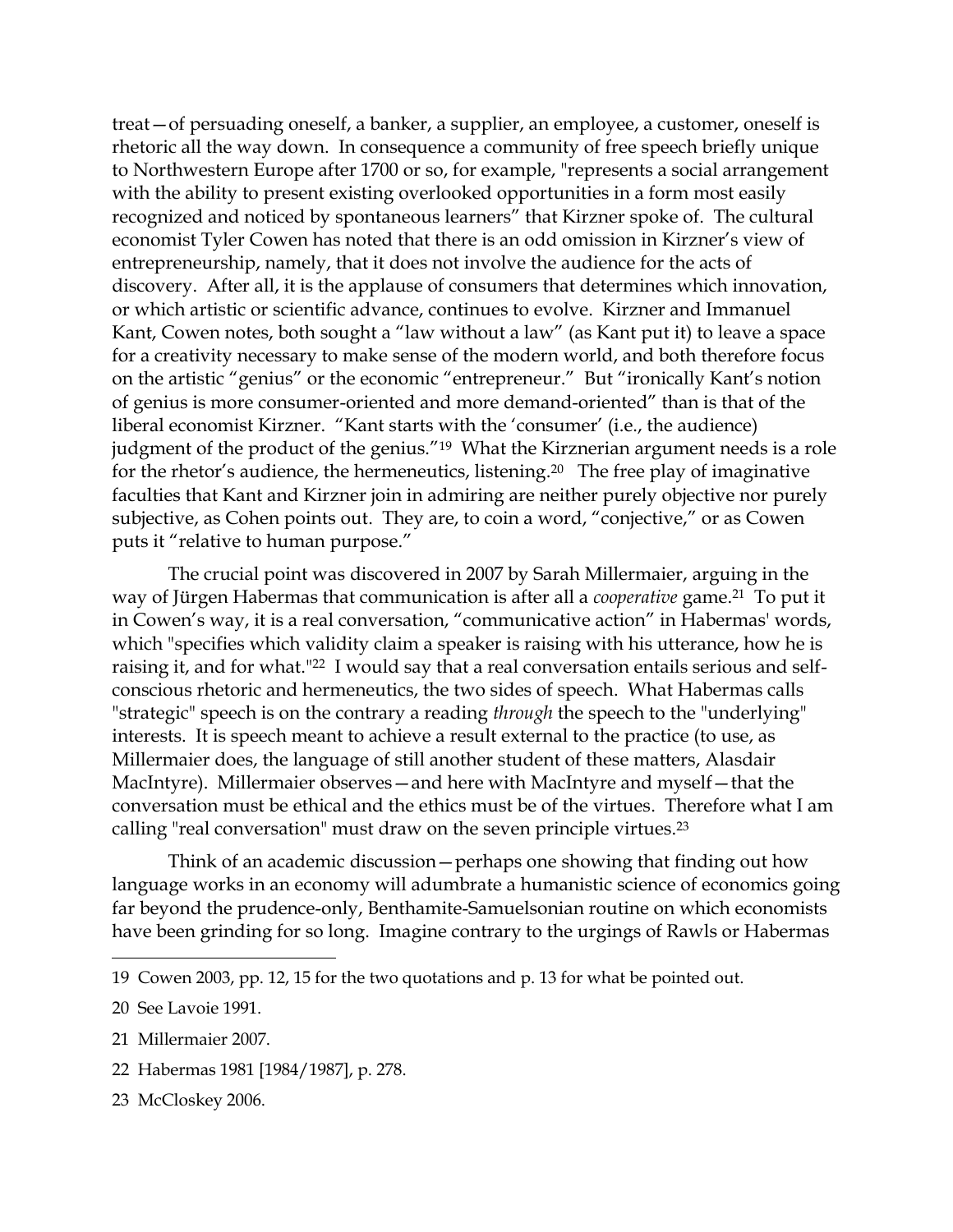treat—of persuading oneself, a banker, a supplier, an employee, a customer, oneself is rhetoric all the way down. In consequence a community of free speech briefly unique to Northwestern Europe after 1700 or so, for example, "represents a social arrangement with the ability to present existing overlooked opportunities in a form most easily recognized and noticed by spontaneous learners" that Kirzner spoke of. The cultural economist Tyler Cowen has noted that there is an odd omission in Kirzner's view of entrepreneurship, namely, that it does not involve the audience for the acts of discovery. After all, it is the applause of consumers that determines which innovation, or which artistic or scientific advance, continues to evolve. Kirzner and Immanuel Kant, Cowen notes, both sought a "law without a law" (as Kant put it) to leave a space for a creativity necessary to make sense of the modern world, and both therefore focus on the artistic "genius" or the economic "entrepreneur." But "ironically Kant's notion of genius is more consumer-oriented and more demand-oriented" than is that of the liberal economist Kirzner. "Kant starts with the 'consumer' (i.e., the audience) judgment of the product of the genius."<sup>19</sup> What the Kirznerian argument needs is a role for the rhetor's audience, the hermeneutics, listening. <sup>20</sup> The free play of imaginative faculties that Kant and Kirzner join in admiring are neither purely objective nor purely subjective, as Cohen points out. They are, to coin a word, "conjective," or as Cowen puts it "relative to human purpose."

The crucial point was discovered in 2007 by Sarah Millermaier, arguing in the way of Jürgen Habermas that communication is after all a *cooperative* game. <sup>21</sup> To put it in Cowen's way, it is a real conversation, "communicative action" in Habermas' words, which "specifies which validity claim a speaker is raising with his utterance, how he is raising it, and for what." <sup>22</sup> I would say that a real conversation entails serious and selfconscious rhetoric and hermeneutics, the two sides of speech. What Habermas calls "strategic" speech is on the contrary a reading *through* the speech to the "underlying" interests. It is speech meant to achieve a result external to the practice (to use, as Millermaier does, the language of still another student of these matters, Alasdair MacIntyre). Millermaier observes—and here with MacIntyre and myself—that the conversation must be ethical and the ethics must be of the virtues. Therefore what I am calling "real conversation" must draw on the seven principle virtues. 23

Think of an academic discussion—perhaps one showing that finding out how language works in an economy will adumbrate a humanistic science of economics going far beyond the prudence-only, Benthamite-Samuelsonian routine on which economists have been grinding for so long. Imagine contrary to the urgings of Rawls or Habermas

 $\overline{a}$ 

22 Habermas 1981 [1984/1987], p. 278.

<sup>19</sup> Cowen 2003, pp. 12, 15 for the two quotations and p. 13 for what be pointed out.

<sup>20</sup> See Lavoie 1991.

<sup>21</sup> Millermaier 2007.

<sup>23</sup> McCloskey 2006.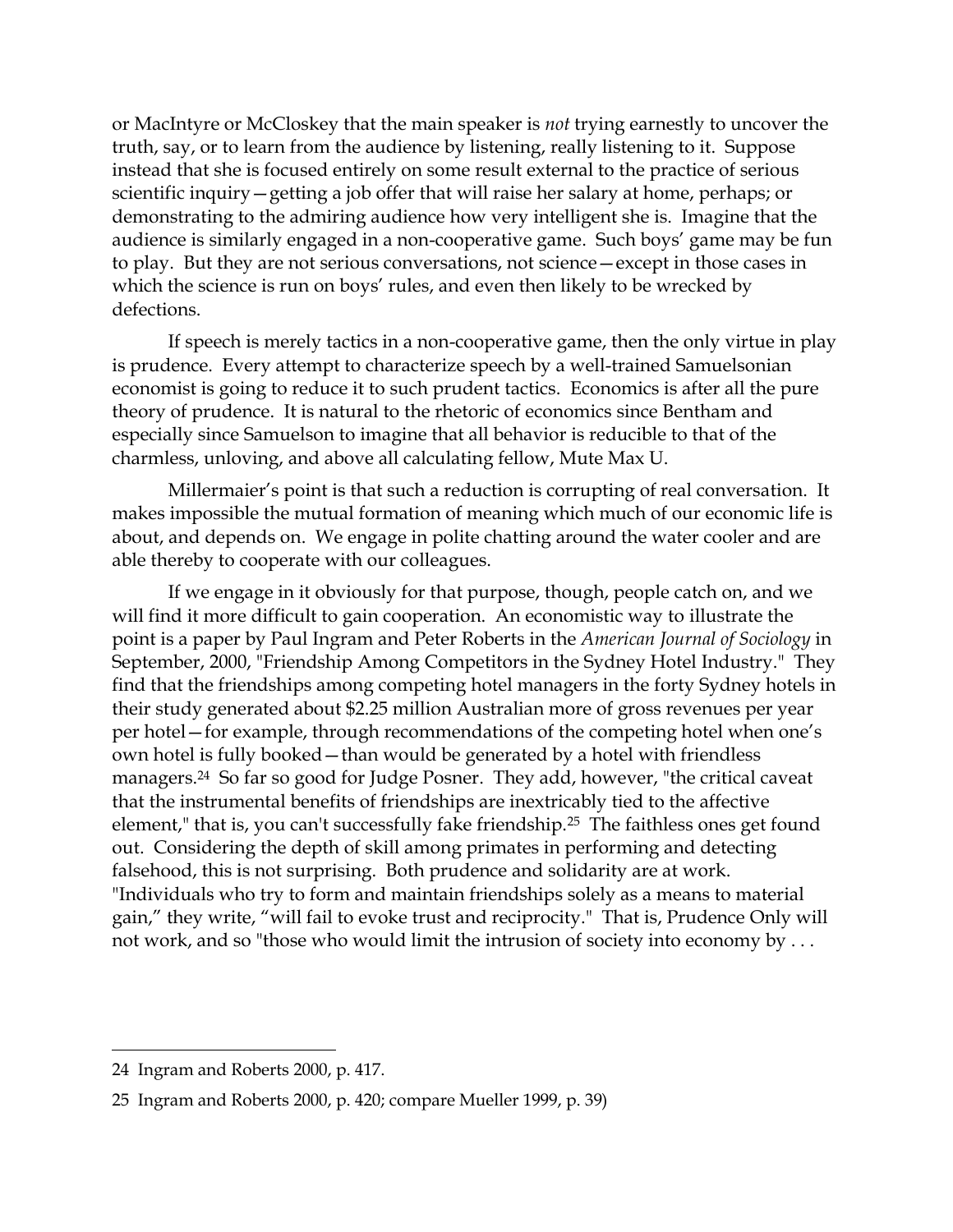or MacIntyre or McCloskey that the main speaker is *not* trying earnestly to uncover the truth, say, or to learn from the audience by listening, really listening to it. Suppose instead that she is focused entirely on some result external to the practice of serious scientific inquiry—getting a job offer that will raise her salary at home, perhaps; or demonstrating to the admiring audience how very intelligent she is. Imagine that the audience is similarly engaged in a non-cooperative game. Such boys' game may be fun to play. But they are not serious conversations, not science—except in those cases in which the science is run on boys' rules, and even then likely to be wrecked by defections.

If speech is merely tactics in a non-cooperative game, then the only virtue in play is prudence. Every attempt to characterize speech by a well-trained Samuelsonian economist is going to reduce it to such prudent tactics. Economics is after all the pure theory of prudence. It is natural to the rhetoric of economics since Bentham and especially since Samuelson to imagine that all behavior is reducible to that of the charmless, unloving, and above all calculating fellow, Mute Max U.

Millermaier's point is that such a reduction is corrupting of real conversation. It makes impossible the mutual formation of meaning which much of our economic life is about, and depends on. We engage in polite chatting around the water cooler and are able thereby to cooperate with our colleagues.

If we engage in it obviously for that purpose, though, people catch on, and we will find it more difficult to gain cooperation. An economistic way to illustrate the point is a paper by Paul Ingram and Peter Roberts in the *American Journal of Sociology* in September, 2000, "Friendship Among Competitors in the Sydney Hotel Industry." They find that the friendships among competing hotel managers in the forty Sydney hotels in their study generated about \$2.25 million Australian more of gross revenues per year per hotel—for example, through recommendations of the competing hotel when one's own hotel is fully booked—than would be generated by a hotel with friendless managers. <sup>24</sup> So far so good for Judge Posner. They add, however, "the critical caveat that the instrumental benefits of friendships are inextricably tied to the affective element," that is, you can't successfully fake friendship.25 The faithless ones get found out. Considering the depth of skill among primates in performing and detecting falsehood, this is not surprising. Both prudence and solidarity are at work. "Individuals who try to form and maintain friendships solely as a means to material gain," they write, "will fail to evoke trust and reciprocity." That is, Prudence Only will not work, and so "those who would limit the intrusion of society into economy by . . .

<sup>24</sup> Ingram and Roberts 2000, p. 417.

<sup>25</sup> Ingram and Roberts 2000, p. 420; compare Mueller 1999, p. 39)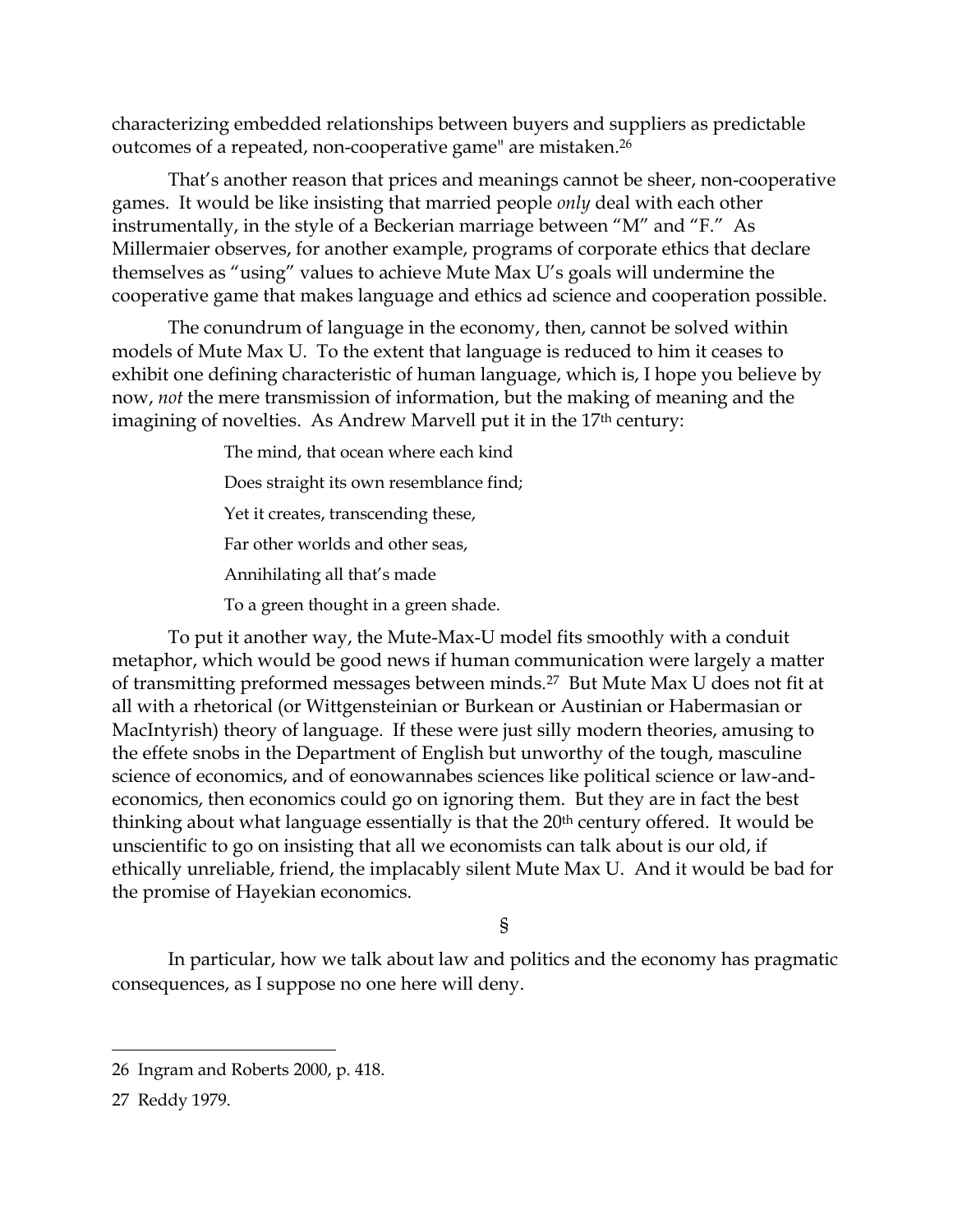characterizing embedded relationships between buyers and suppliers as predictable outcomes of a repeated, non-cooperative game" are mistaken. 26

That's another reason that prices and meanings cannot be sheer, non-cooperative games. It would be like insisting that married people *only* deal with each other instrumentally, in the style of a Beckerian marriage between "M" and "F." As Millermaier observes, for another example, programs of corporate ethics that declare themselves as "using" values to achieve Mute Max U's goals will undermine the cooperative game that makes language and ethics ad science and cooperation possible.

The conundrum of language in the economy, then, cannot be solved within models of Mute Max U. To the extent that language is reduced to him it ceases to exhibit one defining characteristic of human language, which is, I hope you believe by now, *not* the mere transmission of information, but the making of meaning and the imagining of novelties. As Andrew Marvell put it in the 17<sup>th</sup> century:

The mind, that ocean where each kind

Does straight its own resemblance find;

Yet it creates, transcending these,

Far other worlds and other seas,

Annihilating all that's made

To a green thought in a green shade.

To put it another way, the Mute-Max-U model fits smoothly with a conduit metaphor, which would be good news if human communication were largely a matter of transmitting preformed messages between minds. <sup>27</sup> But Mute Max U does not fit at all with a rhetorical (or Wittgensteinian or Burkean or Austinian or Habermasian or MacIntyrish) theory of language. If these were just silly modern theories, amusing to the effete snobs in the Department of English but unworthy of the tough, masculine science of economics, and of eonowannabes sciences like political science or law-andeconomics, then economics could go on ignoring them. But they are in fact the best thinking about what language essentially is that the 20<sup>th</sup> century offered. It would be unscientific to go on insisting that all we economists can talk about is our old, if ethically unreliable, friend, the implacably silent Mute Max U. And it would be bad for the promise of Hayekian economics.

§

In particular, how we talk about law and politics and the economy has pragmatic consequences, as I suppose no one here will deny.

<sup>26</sup> Ingram and Roberts 2000, p. 418.

<sup>27</sup> Reddy 1979.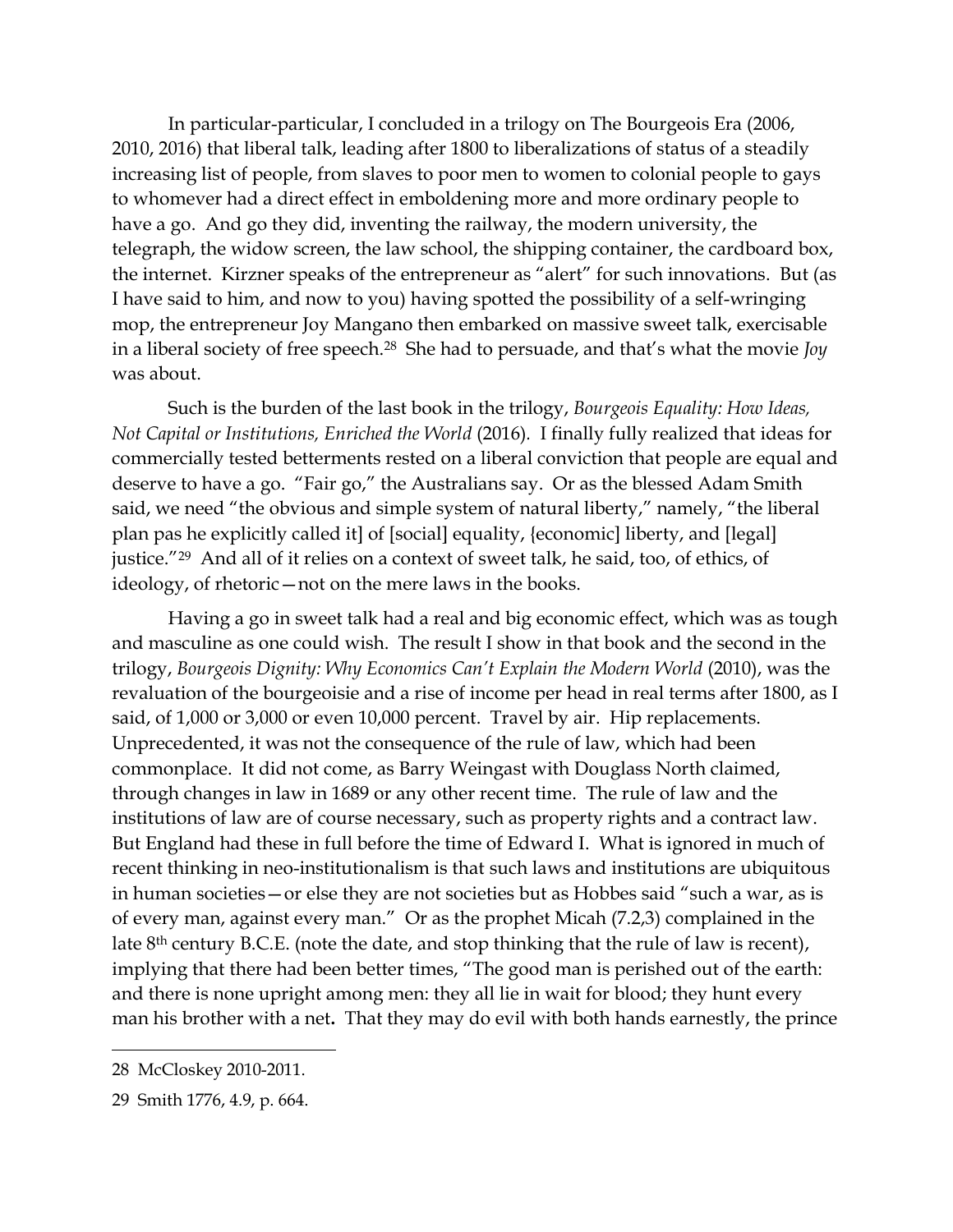In particular-particular, I concluded in a trilogy on The Bourgeois Era (2006, 2010, 2016) that liberal talk, leading after 1800 to liberalizations of status of a steadily increasing list of people, from slaves to poor men to women to colonial people to gays to whomever had a direct effect in emboldening more and more ordinary people to have a go. And go they did, inventing the railway, the modern university, the telegraph, the widow screen, the law school, the shipping container, the cardboard box, the internet. Kirzner speaks of the entrepreneur as "alert" for such innovations. But (as I have said to him, and now to you) having spotted the possibility of a self-wringing mop, the entrepreneur Joy Mangano then embarked on massive sweet talk, exercisable in a liberal society of free speech. <sup>28</sup> She had to persuade, and that's what the movie *Joy*  was about.

Such is the burden of the last book in the trilogy, *Bourgeois Equality: How Ideas, Not Capital or Institutions, Enriched the World* (2016)*.* I finally fully realized that ideas for commercially tested betterments rested on a liberal conviction that people are equal and deserve to have a go. "Fair go," the Australians say. Or as the blessed Adam Smith said, we need "the obvious and simple system of natural liberty," namely, "the liberal plan pas he explicitly called it] of [social] equality, {economic] liberty, and [legal] justice."<sup>29</sup> And all of it relies on a context of sweet talk, he said, too, of ethics, of ideology, of rhetoric—not on the mere laws in the books.

Having a go in sweet talk had a real and big economic effect, which was as tough and masculine as one could wish. The result I show in that book and the second in the trilogy, *Bourgeois Dignity: Why Economics Can't Explain the Modern World* (2010), was the revaluation of the bourgeoisie and a rise of income per head in real terms after 1800, as I said, of 1,000 or 3,000 or even 10,000 percent. Travel by air. Hip replacements. Unprecedented, it was not the consequence of the rule of law, which had been commonplace. It did not come, as Barry Weingast with Douglass North claimed, through changes in law in 1689 or any other recent time. The rule of law and the institutions of law are of course necessary, such as property rights and a contract law. But England had these in full before the time of Edward I. What is ignored in much of recent thinking in neo-institutionalism is that such laws and institutions are ubiquitous in human societies—or else they are not societies but as Hobbes said "such a war, as is of every man, against every man." Or as the prophet Micah (7.2,3) complained in the late 8<sup>th</sup> century B.C.E. (note the date, and stop thinking that the rule of law is recent), implying that there had been better times, "The good man is perished out of the earth: and there is none upright among men: they all lie in wait for blood; they hunt every man his brother with a net**.** That they may do evil with both hands earnestly, the prince

<sup>28</sup> McCloskey 2010-2011.

<sup>29</sup> Smith 1776, 4.9, p. 664.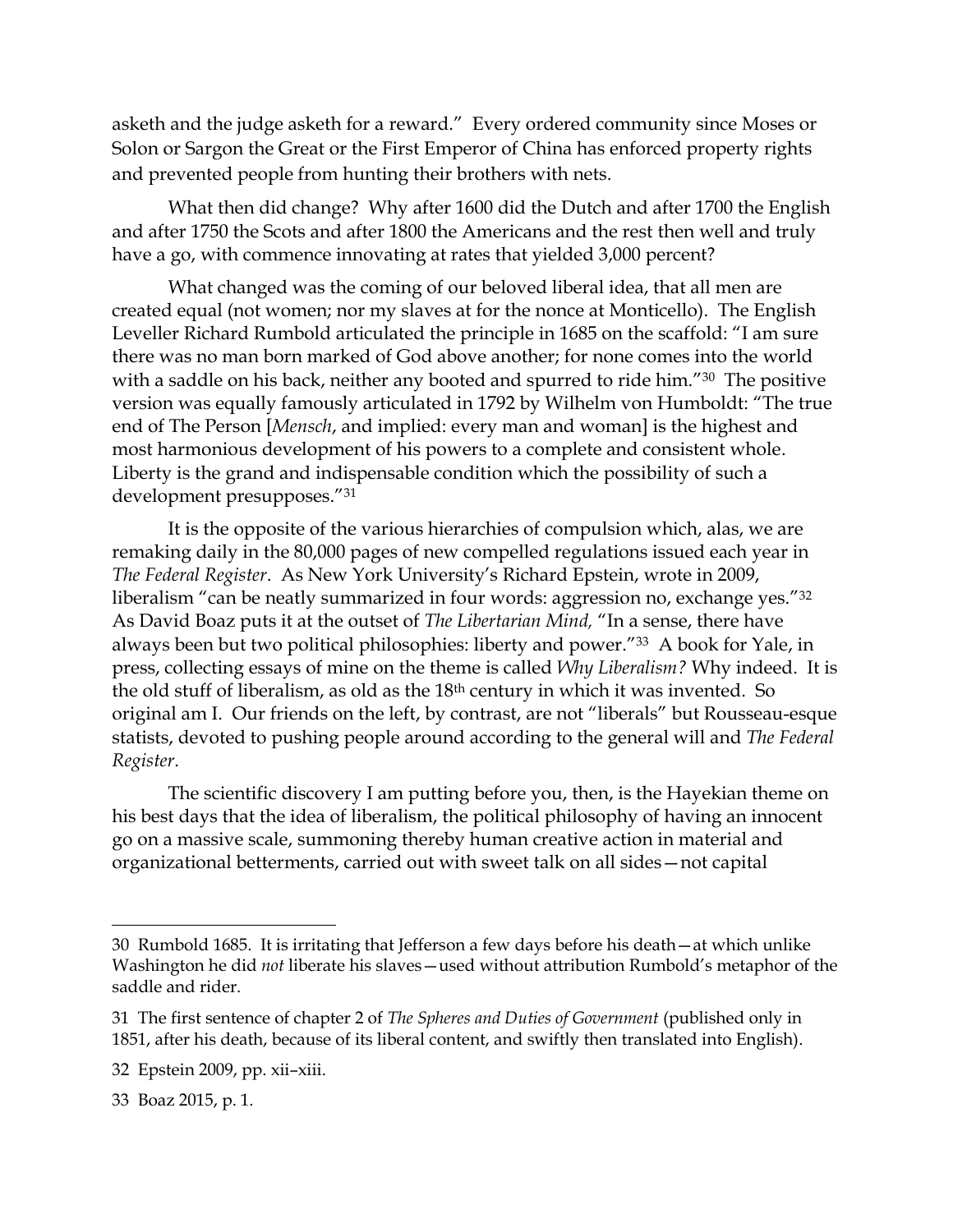asketh and the judge asketh for a reward."Every ordered community since Moses or Solon or Sargon the Great or the First Emperor of China has enforced property rights and prevented people from hunting their brothers with nets.

What then did change? Why after 1600 did the Dutch and after 1700 the English and after 1750 the Scots and after 1800 the Americans and the rest then well and truly have a go, with commence innovating at rates that yielded 3,000 percent?

What changed was the coming of our beloved liberal idea, that all men are created equal (not women; nor my slaves at for the nonce at Monticello). The English Leveller Richard Rumbold articulated the principle in 1685 on the scaffold: "I am sure there was no man born marked of God above another; for none comes into the world with a saddle on his back, neither any booted and spurred to ride him."<sup>30</sup> The positive version was equally famously articulated in 1792 by Wilhelm von Humboldt: "The true end of The Person [*Mensch*, and implied: every man and woman] is the highest and most harmonious development of his powers to a complete and consistent whole. Liberty is the grand and indispensable condition which the possibility of such a development presupposes."<sup>31</sup>

It is the opposite of the various hierarchies of compulsion which, alas, we are remaking daily in the 80,000 pages of new compelled regulations issued each year in *The Federal Register*. As New York University's Richard Epstein, wrote in 2009, liberalism "can be neatly summarized in four words: aggression no, exchange yes."<sup>32</sup> As David Boaz puts it at the outset of *The Libertarian Mind,* "In a sense, there have always been but two political philosophies: liberty and power."<sup>33</sup> A book for Yale, in press, collecting essays of mine on the theme is called *Why Liberalism?* Why indeed. It is the old stuff of liberalism, as old as the 18th century in which it was invented. So original am I. Our friends on the left, by contrast, are not "liberals" but Rousseau-esque statists, devoted to pushing people around according to the general will and *The Federal Register*.

The scientific discovery I am putting before you, then, is the Hayekian theme on his best days that the idea of liberalism, the political philosophy of having an innocent go on a massive scale, summoning thereby human creative action in material and organizational betterments, carried out with sweet talk on all sides—not capital

<sup>30</sup> Rumbold 1685. It is irritating that Jefferson a few days before his death—at which unlike Washington he did *not* liberate his slaves—used without attribution Rumbold's metaphor of the saddle and rider.

<sup>31</sup> The first sentence of chapter 2 of *The Spheres and Duties of Government* (published only in 1851, after his death, because of its liberal content, and swiftly then translated into English).

<sup>32</sup> Epstein 2009, pp. xii–xiii.

<sup>33</sup> Boaz 2015, p. 1.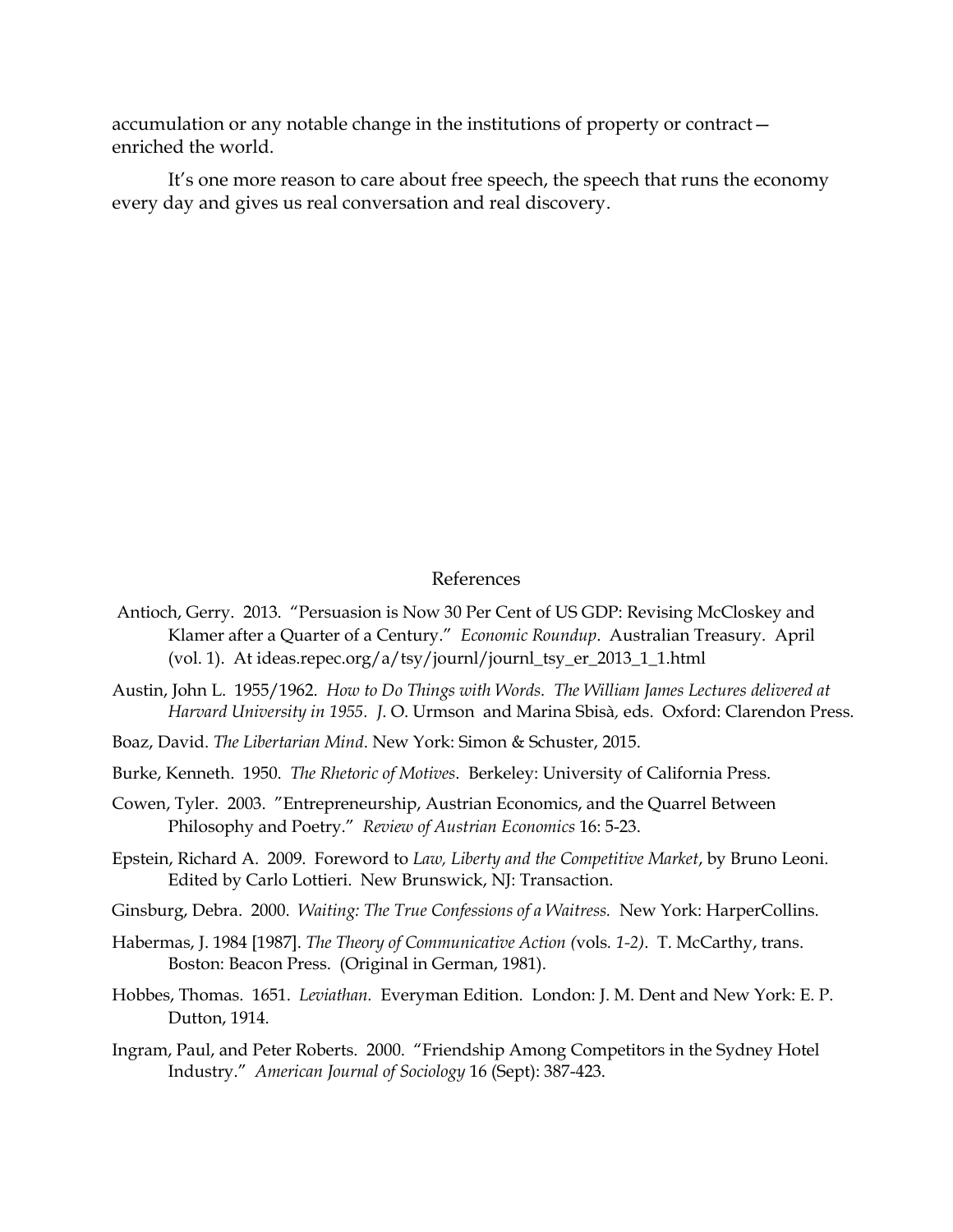accumulation or any notable change in the institutions of property or contract enriched the world.

It's one more reason to care about free speech, the speech that runs the economy every day and gives us real conversation and real discovery.

## References

- Antioch, Gerry. 2013. "Persuasion is Now 30 Per Cent of US GDP: Revising McCloskey and Klamer after a Quarter of a Century." *Economic Roundup*. Australian Treasury. April (vol. 1). At ideas.repec.org/a/tsy/journl/journl\_tsy\_er\_2013\_1\_1.html
- Austin, John L. 1955/1962. *How to Do Things with Words. The William James Lectures delivered at Harvard University in 1955. J*. O. Urmson and Marina Sbisà*,* eds. Oxford: Clarendon Press.
- Boaz, David. *The Libertarian Mind*. New York: Simon & Schuster, 2015.
- Burke, Kenneth. 1950. *The Rhetoric of Motives*. Berkeley: University of California Press.
- Cowen, Tyler. 2003. "Entrepreneurship, Austrian Economics, and the Quarrel Between Philosophy and Poetry." *Review of Austrian Economics* 16: 5-23.
- Epstein, Richard A. 2009. Foreword to *Law, Liberty and the Competitive Market*, by Bruno Leoni. Edited by Carlo Lottieri. New Brunswick, NJ: Transaction.
- Ginsburg, Debra. 2000. *Waiting: The True Confessions of a Waitress.* New York: HarperCollins.
- Habermas, J. 1984 [1987]. *The Theory of Communicative Action (*vols*. 1-2)*. T. McCarthy, trans. Boston: Beacon Press. (Original in German, 1981).
- Hobbes, Thomas. 1651. *Leviathan.* Everyman Edition. London: J. M. Dent and New York: E. P. Dutton, 1914.
- Ingram, Paul, and Peter Roberts. 2000. "Friendship Among Competitors in the Sydney Hotel Industry." *American Journal of Sociology* 16 (Sept): 387-423.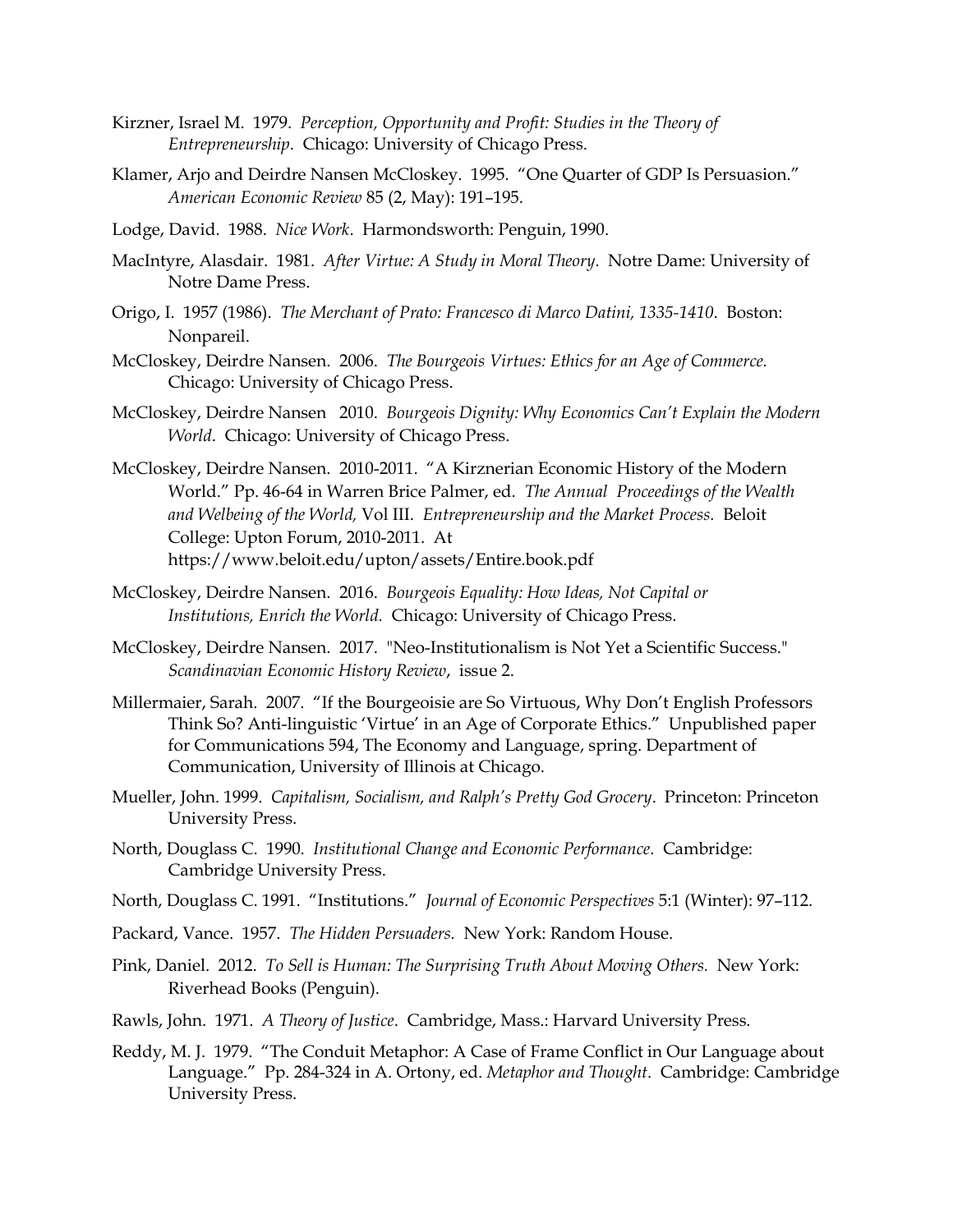- Kirzner, Israel M. 1979. *Perception, Opportunity and Profit: Studies in the Theory of Entrepreneurship*. Chicago: University of Chicago Press.
- Klamer, Arjo and Deirdre Nansen McCloskey. 1995. "One Quarter of GDP Is Persuasion." *American Economic Review* 85 (2, May): 191–195.
- Lodge, David. 1988. *Nice Work*. Harmondsworth: Penguin, 1990.
- MacIntyre, Alasdair. 1981. *After Virtue: A Study in Moral Theory*. Notre Dame: University of Notre Dame Press.
- Origo, I. 1957 (1986). *The Merchant of Prato: Francesco di Marco Datini, 1335-1410*. Boston: Nonpareil.
- McCloskey, Deirdre Nansen. 2006. *The Bourgeois Virtues: Ethics for an Age of Commerce.*  Chicago: University of Chicago Press.
- McCloskey, Deirdre Nansen 2010. *Bourgeois Dignity: Why Economics Can't Explain the Modern World*. Chicago: University of Chicago Press.
- McCloskey, Deirdre Nansen. 2010-2011. "A Kirznerian Economic History of the Modern World." Pp. 46-64 in Warren Brice Palmer, ed. *The Annual Proceedings of the Wealth and Welbeing of the World,* Vol III. *Entrepreneurship and the Market Process.* Beloit College: Upton Forum, 2010-2011. At <https://www.beloit.edu/upton/assets/Entire.book.pdf>
- McCloskey, Deirdre Nansen. 2016. *Bourgeois Equality: How Ideas, Not Capital or Institutions, Enrich the World.* Chicago: University of Chicago Press.
- McCloskey, Deirdre Nansen. 2017. "Neo-Institutionalism is Not Yet a Scientific Success." *Scandinavian Economic History Review*, issue 2.
- Millermaier, Sarah. 2007. "If the Bourgeoisie are So Virtuous, Why Don't English Professors Think So? Anti-linguistic 'Virtue' in an Age of Corporate Ethics." Unpublished paper for Communications 594, The Economy and Language, spring. Department of Communication, University of Illinois at Chicago.
- Mueller, John. 1999. *Capitalism, Socialism, and Ralph's Pretty God Grocery*. Princeton: Princeton University Press.
- North, Douglass C. 1990. *Institutional Change and Economic Performance*. Cambridge: Cambridge University Press.
- North, Douglass C. 1991. "Institutions." *Journal of Economic Perspectives* 5:1 (Winter): 97–112.
- Packard, Vance. 1957. *The Hidden Persuaders.* New York: Random House.
- Pink, Daniel. 2012. *To Sell is Human: The Surprising Truth About Moving Others.* New York: Riverhead Books (Penguin).
- Rawls, John. 1971. *A Theory of Justice*. Cambridge, Mass.: Harvard University Press.
- Reddy, M. J. 1979. "The Conduit Metaphor: A Case of Frame Conflict in Our Language about Language." Pp. 284-324 in A. Ortony, ed. *Metaphor and Thought*. Cambridge: Cambridge University Press.